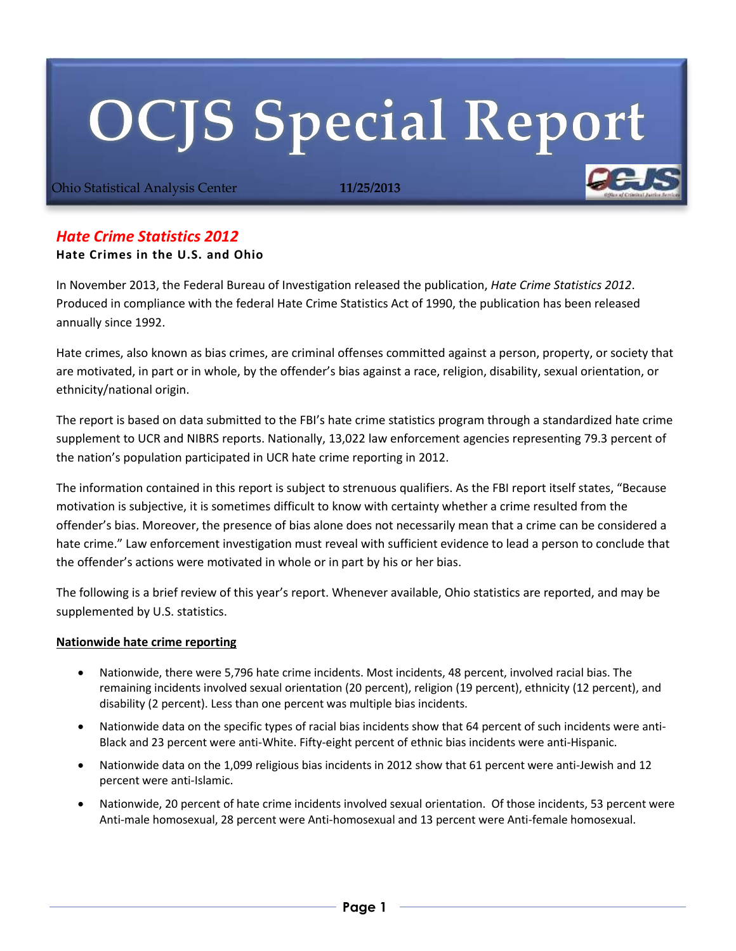# **OCJS Special Report**

Ohio Statistical Analysis Center **11/25/2013**

# *Hate Crime Statistics 2012*

## **Hate Crimes in the U.S. and Ohio**

In November 2013, the Federal Bureau of Investigation released the publication, *Hate Crime Statistics 2012*. Produced in compliance with the federal Hate Crime Statistics Act of 1990, the publication has been released annually since 1992.

Hate crimes, also known as bias crimes, are criminal offenses committed against a person, property, or society that are motivated, in part or in whole, by the offender's bias against a race, religion, disability, sexual orientation, or ethnicity/national origin.

The report is based on data submitted to the FBI's hate crime statistics program through a standardized hate crime supplement to UCR and NIBRS reports. Nationally, 13,022 law enforcement agencies representing 79.3 percent of the nation's population participated in UCR hate crime reporting in 2012.

The information contained in this report is subject to strenuous qualifiers. As the FBI report itself states, "Because motivation is subjective, it is sometimes difficult to know with certainty whether a crime resulted from the offender's bias. Moreover, the presence of bias alone does not necessarily mean that a crime can be considered a hate crime." Law enforcement investigation must reveal with sufficient evidence to lead a person to conclude that the offender's actions were motivated in whole or in part by his or her bias.

The following is a brief review of this year's report. Whenever available, Ohio statistics are reported, and may be supplemented by U.S. statistics.

# **Nationwide hate crime reporting**

- Nationwide, there were 5,796 hate crime incidents. Most incidents, 48 percent, involved racial bias. The remaining incidents involved sexual orientation (20 percent), religion (19 percent), ethnicity (12 percent), and disability (2 percent). Less than one percent was multiple bias incidents.
- Nationwide data on the specific types of racial bias incidents show that 64 percent of such incidents were anti-Black and 23 percent were anti-White. Fifty-eight percent of ethnic bias incidents were anti-Hispanic.
- Nationwide data on the 1,099 religious bias incidents in 2012 show that 61 percent were anti-Jewish and 12 percent were anti-Islamic.
- Nationwide, 20 percent of hate crime incidents involved sexual orientation. Of those incidents, 53 percent were Anti-male homosexual, 28 percent were Anti-homosexual and 13 percent were Anti-female homosexual.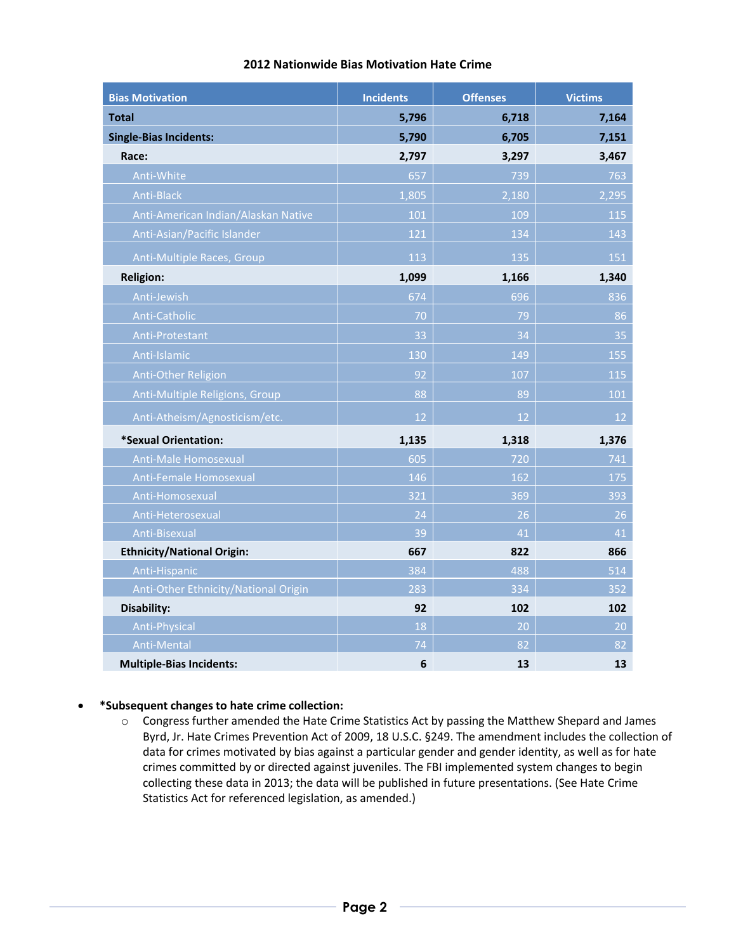| <b>Bias Motivation</b>               | <b>Incidents</b> | <b>Offenses</b> | <b>Victims</b> |
|--------------------------------------|------------------|-----------------|----------------|
| <b>Total</b>                         | 5,796            | 6,718           | 7,164          |
| <b>Single-Bias Incidents:</b>        | 5,790            | 6,705           | 7,151          |
| Race:                                | 2,797            | 3,297           | 3,467          |
| Anti-White                           | 657              | 739             | 763            |
| Anti-Black                           | 1,805            | 2,180           | 2,295          |
| Anti-American Indian/Alaskan Native  | 101              | 109             | 115            |
| Anti-Asian/Pacific Islander          | 121              | 134             | 143            |
| Anti-Multiple Races, Group           | 113              | 135             | 151            |
| <b>Religion:</b>                     | 1,099            | 1,166           | 1,340          |
| Anti-Jewish                          | 674              | 696             | 836            |
| Anti-Catholic                        | 70               | 79              | 86             |
| Anti-Protestant                      | 33               | 34              | 35             |
| Anti-Islamic                         | 130              | 149             | 155            |
| <b>Anti-Other Religion</b>           | 92               | 107             | 115            |
| Anti-Multiple Religions, Group       | 88               | 89              | 101            |
| Anti-Atheism/Agnosticism/etc.        | 12               | 12              | 12             |
| *Sexual Orientation:                 | 1,135            | 1,318           | 1,376          |
| Anti-Male Homosexual                 | 605              | 720             | 741            |
| Anti-Female Homosexual               | 146              | 162             | 175            |
| Anti-Homosexual                      | 321              | 369             | 393            |
| Anti-Heterosexual                    | 24               | 26              | 26             |
| Anti-Bisexual                        | 39               | 41              | 41             |
| <b>Ethnicity/National Origin:</b>    | 667              | 822             | 866            |
| Anti-Hispanic                        | 384              | 488             | 514            |
| Anti-Other Ethnicity/National Origin | 283              | 334             | 352            |
| Disability:                          | 92               | 102             | 102            |
| Anti-Physical                        | 18               | 20              | 20             |
| Anti-Mental                          | 74               | 82              | 82             |
| <b>Multiple-Bias Incidents:</b>      | 6                | 13              | 13             |

# **2012 Nationwide Bias Motivation Hate Crime**

### **\*Subsequent changes to hate crime collection:**

o Congress further amended the Hate Crime Statistics Act by passing the Matthew Shepard and James Byrd, Jr. Hate Crimes Prevention Act of 2009, 18 U.S.C. §249. The amendment includes the collection of data for crimes motivated by bias against a particular gender and gender identity, as well as for hate crimes committed by or directed against juveniles. The FBI implemented system changes to begin collecting these data in 2013; the data will be published in future presentations. (See Hate Crime Statistics Act for referenced legislation, as amended.)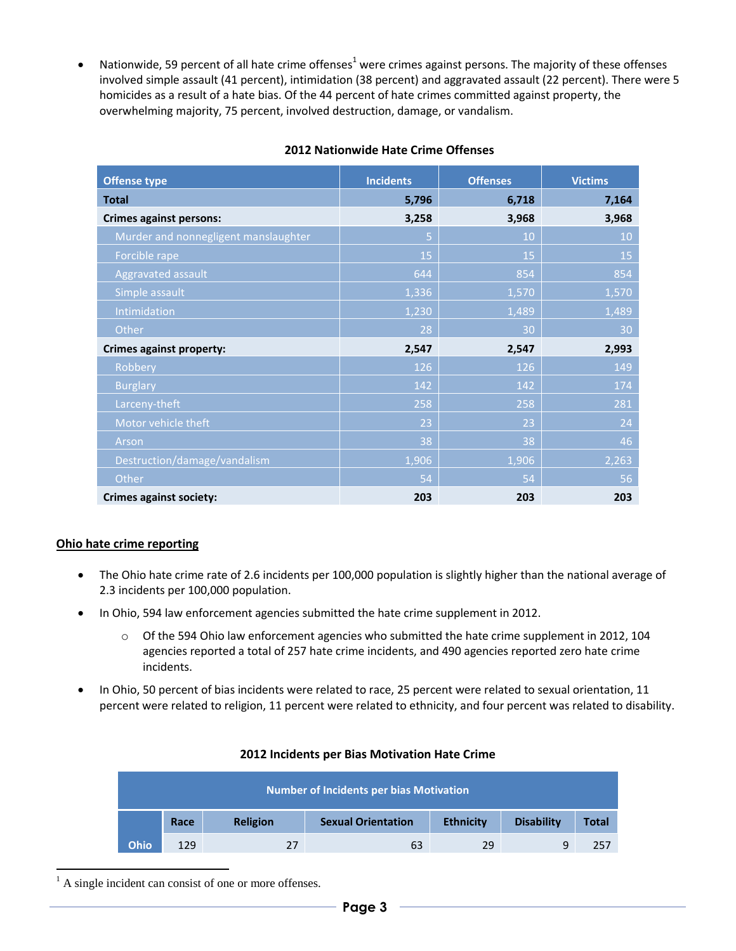• Nationwide, 59 percent of all hate crime offenses<sup>1</sup> were crimes against persons. The majority of these offenses involved simple assault (41 percent), intimidation (38 percent) and aggravated assault (22 percent). There were 5 homicides as a result of a hate bias. Of the 44 percent of hate crimes committed against property, the overwhelming majority, 75 percent, involved destruction, damage, or vandalism.

| <b>Offense type</b>                  | <b>Incidents</b> | <b>Offenses</b> | <b>Victims</b> |
|--------------------------------------|------------------|-----------------|----------------|
| <b>Total</b>                         | 5,796            | 6,718           | 7,164          |
| <b>Crimes against persons:</b>       | 3,258            | 3,968           | 3,968          |
| Murder and nonnegligent manslaughter | 5                | 10              | 10             |
| Forcible rape                        | 15               | 15              | 15             |
| Aggravated assault                   | 644              | 854             | 854            |
| Simple assault                       | 1,336            | 1,570           | 1,570          |
| Intimidation                         | 1,230            | 1,489           | 1,489          |
| Other                                | 28               | 30              | 30             |
| <b>Crimes against property:</b>      | 2,547            | 2,547           | 2,993          |
| Robbery                              | 126              | 126             | 149            |
| <b>Burglary</b>                      | 142              | 142             | 174            |
| Larceny-theft                        | 258              | 258             | 281            |
| Motor vehicle theft                  | 23               | 23              | 24             |
| Arson                                | 38               | 38              | 46             |
| Destruction/damage/vandalism         | 1,906            | 1,906           | 2,263          |
| Other                                | 54               | 54              | 56             |
| <b>Crimes against society:</b>       | 203              | 203             | 203            |

#### **2012 Nationwide Hate Crime Offenses**

### **Ohio hate crime reporting**

- The Ohio hate crime rate of 2.6 incidents per 100,000 population is slightly higher than the national average of 2.3 incidents per 100,000 population.
- In Ohio, 594 law enforcement agencies submitted the hate crime supplement in 2012.
	- $\circ$  Of the 594 Ohio law enforcement agencies who submitted the hate crime supplement in 2012, 104 agencies reported a total of 257 hate crime incidents, and 490 agencies reported zero hate crime incidents.
- In Ohio, 50 percent of bias incidents were related to race, 25 percent were related to sexual orientation, 11 percent were related to religion, 11 percent were related to ethnicity, and four percent was related to disability.

| <b>Number of Incidents per bias Motivation</b> |      |                 |                           |                  |                   |       |
|------------------------------------------------|------|-----------------|---------------------------|------------------|-------------------|-------|
|                                                | Race | <b>Religion</b> | <b>Sexual Orientation</b> | <b>Ethnicity</b> | <b>Disability</b> | Total |
| <b>Ohio</b>                                    | 129  | 27              | 63                        | 29               | 9                 | 257   |

#### **2012 Incidents per Bias Motivation Hate Crime**

 $<sup>1</sup>$  A single incident can consist of one or more offenses.</sup>

-